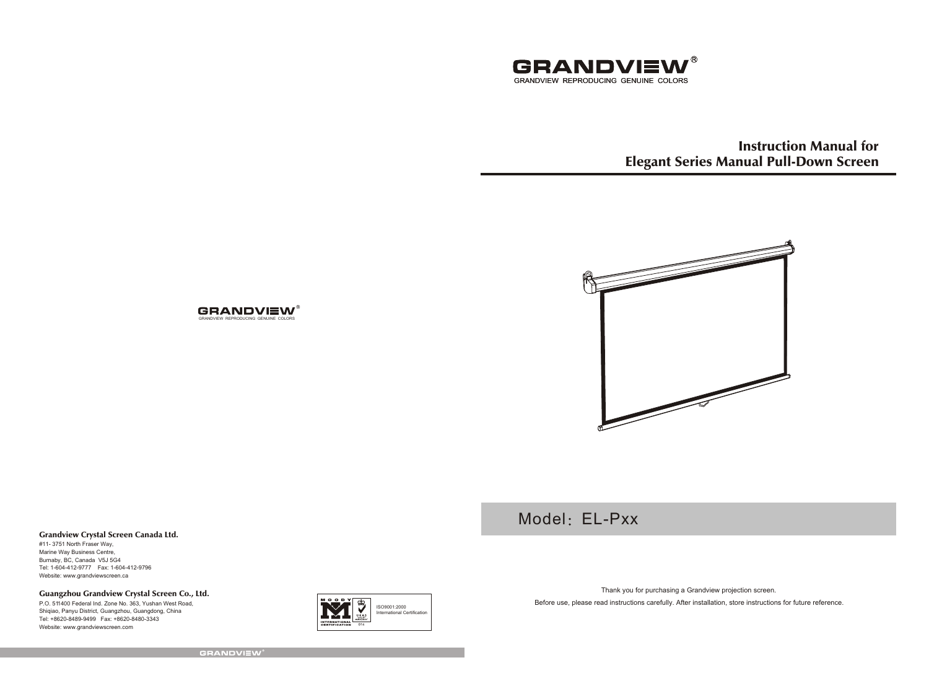

Instruction Manual for Elegant Series Manual Pull-Down Screen



Model: EL-Pxx

#### Grandview Crystal Screen Canada Ltd.

#11- 3751 North Fraser Way, Marine Way Business Centre, Burnaby, BC, Canada V5J 5G4 Tel: 1-604-412-9777 Fax: 1-604-412-9796 Website: www.grandviewscreen.ca

Guangzhou Grandview Crystal Screen Co., Ltd.

P.O. 511400 Federal Ind. Zone No. 363, Yushan West Road, Shiqiao, Panyu District, Guangzhou, Guangdong, China Tel: +8620-8489-9499 Fax: +8620-8480-3343 Website: www.grandviewscreen.com



Thank you for purchasing a Grandview projection screen.

Before use, please read instructions carefully. After installation, store instructions for future reference.

**GRANDVIEW®** 

GRANDVIEW REPRODUCING GENUINE COLORS

**GRANDVIEW®**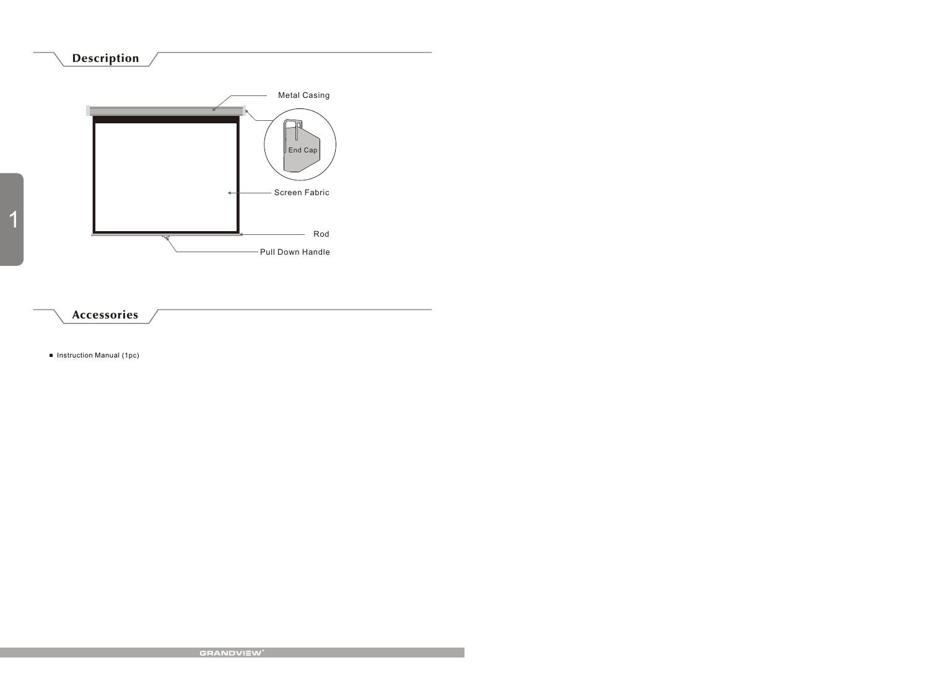# Description



**Instruction Manual (1pc)**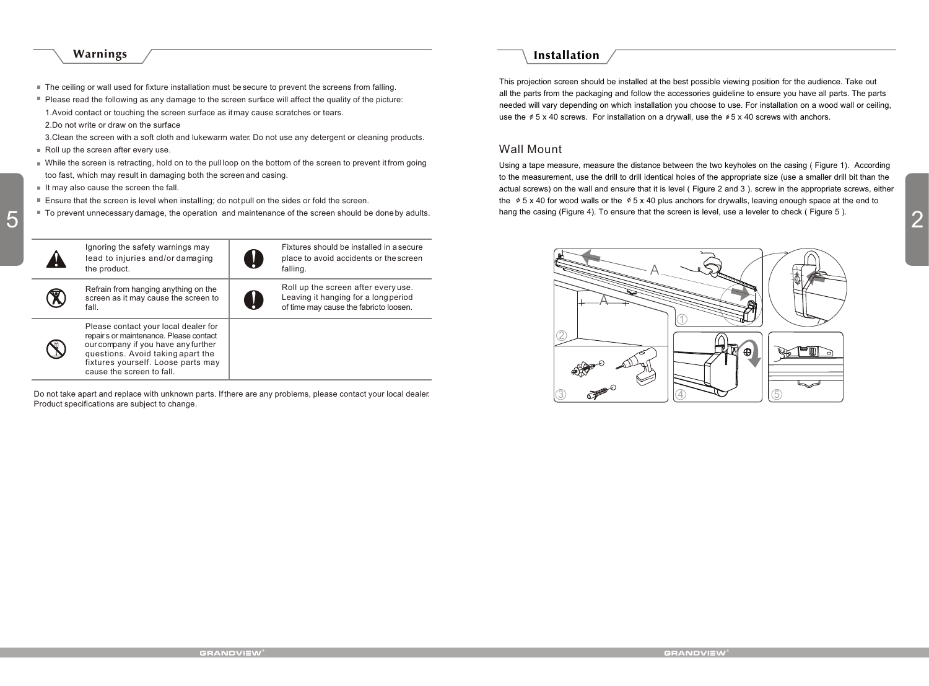### Warnings

- The ceiling or wall used for fixture installation must be secure to prevent the screens from falling.
- Please read the following as any damage to the screen surface will affect the quality of the picture:
- 1.Avoid contact or touching the screen surface as it may cause scratches or tears.
- 2.Do not write or draw on the surface
- 3.Clean the screen with a soft cloth and lukewarm water. Do not use any detergent or cleaning products.
- Roll up the screen after every use.
- While the screen is retracting, hold on to the pull loop on the bottom of the screen to prevent it from going too fast, which may result in damaging both the screen and casing.
- $I$  It may also cause the screen the fall
- Ensure that the screen is level when installing; do not pull on the sides or fold the screen.
- 



Do not take apart and replace with unknown parts. If there are any problems, please contact your local dealer. Product specifications are subject to change.

## Installation

This projection screen should be installed at the best possible viewing position for the audience. Take out all the parts from the packaging and follow the accessories guideline to ensure you have all parts. The parts needed will vary depending on which installation you choose to use. For installation on a wood wall or ceiling, use the  $\phi$  5 x 40 screws. For installation on a drywall, use the  $\phi$  5 x 40 screws with anchors.

## Wall Mount

To prevent unnecessary damage, the operation and maintenance of the screen should be done by adults.<br>
2 Using a tape measure, measure the distance between the two keyholes on the casing ( Figure 1). According to the measurement, use the drill to drill identical holes of the appropriate size (use a smaller drill bit than the actual screws) on the wall and ensure that it is level ( Figure 2 and 3 ). screw in the appropriate screws, either the  $\phi$  5 x 40 for wood walls or the  $\phi$  5 x 40 plus anchors for drywalls, leaving enough space at the end to hang the casing (Figure 4). To ensure that the screen is level, use a leveler to check (Figure 5).